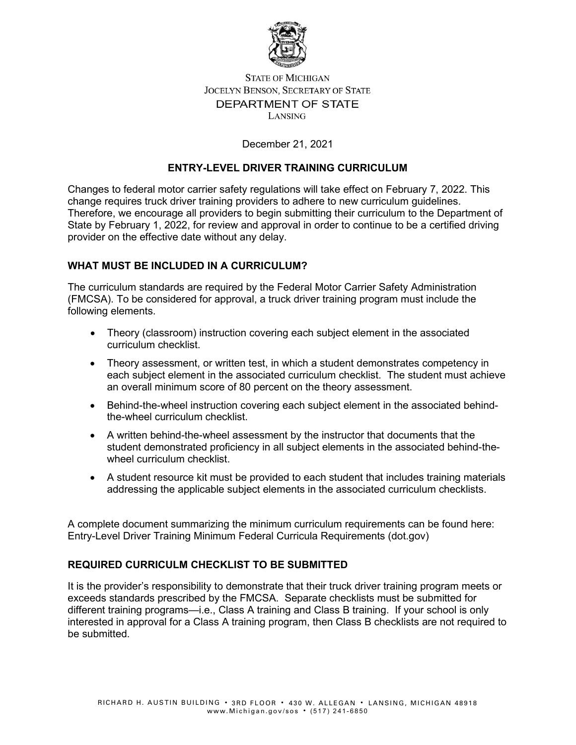

# **STATE OF MICHIGAN JOCELYN BENSON, SECRETARY OF STATE** DEPARTMENT OF STATE LANSING

## December 21, 2021

### **ENTRY-LEVEL DRIVER TRAINING CURRICULUM**

Changes to federal motor carrier safety regulations will take effect on February 7, 2022. This change requires truck driver training providers to adhere to new curriculum guidelines. Therefore, we encourage all providers to begin submitting their curriculum to the Department of State by February 1, 2022, for review and approval in order to continue to be a certified driving provider on the effective date without any delay.

# **WHAT MUST BE INCLUDED IN A CURRICULUM?**

The curriculum standards are required by the Federal Motor Carrier Safety Administration (FMCSA). To be considered for approval, a truck driver training program must include the following elements.

- Theory (classroom) instruction covering each subject element in the associated curriculum checklist.
- Theory assessment, or written test, in which a student demonstrates competency in each subject element in the associated curriculum checklist. The student must achieve an overall minimum score of 80 percent on the theory assessment.
- Behind-the-wheel instruction covering each subject element in the associated behindthe-wheel curriculum checklist.
- A written behind-the-wheel assessment by the instructor that documents that the student demonstrated proficiency in all subject elements in the associated behind-thewheel curriculum checklist.
- A student resource kit must be provided to each student that includes training materials addressing the applicable subject elements in the associated curriculum checklists.

A complete document summarizing the minimum curriculum requirements can be found here: [Entry-Level Driver Training Minimum Federal Curricula Requirements \(dot.gov\)](https://tpr.fmcsa.dot.gov/content/Resources/ELDT-Curriculum-Summary.pdf)

# **REQUIRED CURRICULM CHECKLIST TO BE SUBMITTED**

It is the provider's responsibility to demonstrate that their truck driver training program meets or exceeds standards prescribed by the FMCSA. Separate checklists must be submitted for different training programs—i.e., Class A training and Class B training. If your school is only interested in approval for a Class A training program, then Class B checklists are not required to be submitted.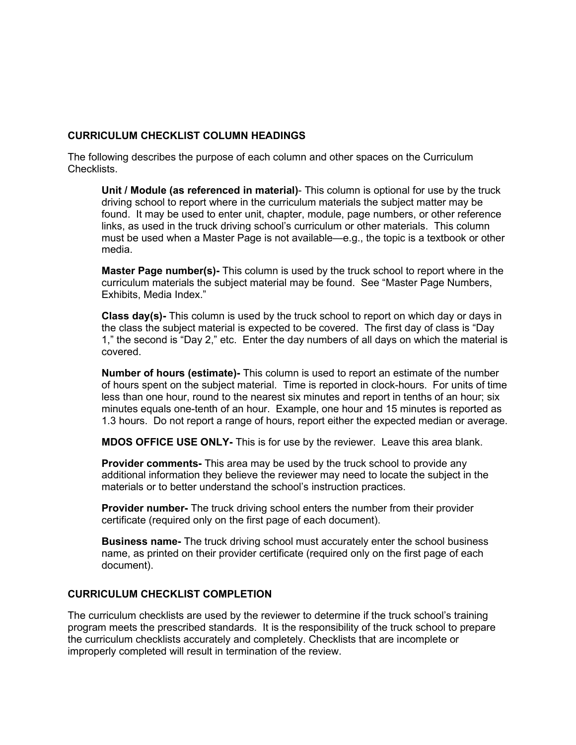## **CURRICULUM CHECKLIST COLUMN HEADINGS**

The following describes the purpose of each column and other spaces on the Curriculum Checklists.

**Unit / Module (as referenced in material)**- This column is optional for use by the truck driving school to report where in the curriculum materials the subject matter may be found. It may be used to enter unit, chapter, module, page numbers, or other reference links, as used in the truck driving school's curriculum or other materials. This column must be used when a Master Page is not available—e.g., the topic is a textbook or other media.

**Master Page number(s)-** This column is used by the truck school to report where in the curriculum materials the subject material may be found. See "Master Page Numbers, Exhibits, Media Index."

**Class day(s)-** This column is used by the truck school to report on which day or days in the class the subject material is expected to be covered. The first day of class is "Day 1," the second is "Day 2," etc. Enter the day numbers of all days on which the material is covered.

**Number of hours (estimate)-** This column is used to report an estimate of the number of hours spent on the subject material. Time is reported in clock-hours. For units of time less than one hour, round to the nearest six minutes and report in tenths of an hour; six minutes equals one-tenth of an hour. Example, one hour and 15 minutes is reported as 1.3 hours. Do not report a range of hours, report either the expected median or average.

**MDOS OFFICE USE ONLY-** This is for use by the reviewer. Leave this area blank.

**Provider comments-** This area may be used by the truck school to provide any additional information they believe the reviewer may need to locate the subject in the materials or to better understand the school's instruction practices.

**Provider number-** The truck driving school enters the number from their provider certificate (required only on the first page of each document).

**Business name-** The truck driving school must accurately enter the school business name, as printed on their provider certificate (required only on the first page of each document).

#### **CURRICULUM CHECKLIST COMPLETION**

The curriculum checklists are used by the reviewer to determine if the truck school's training program meets the prescribed standards. It is the responsibility of the truck school to prepare the curriculum checklists accurately and completely. Checklists that are incomplete or improperly completed will result in termination of the review.